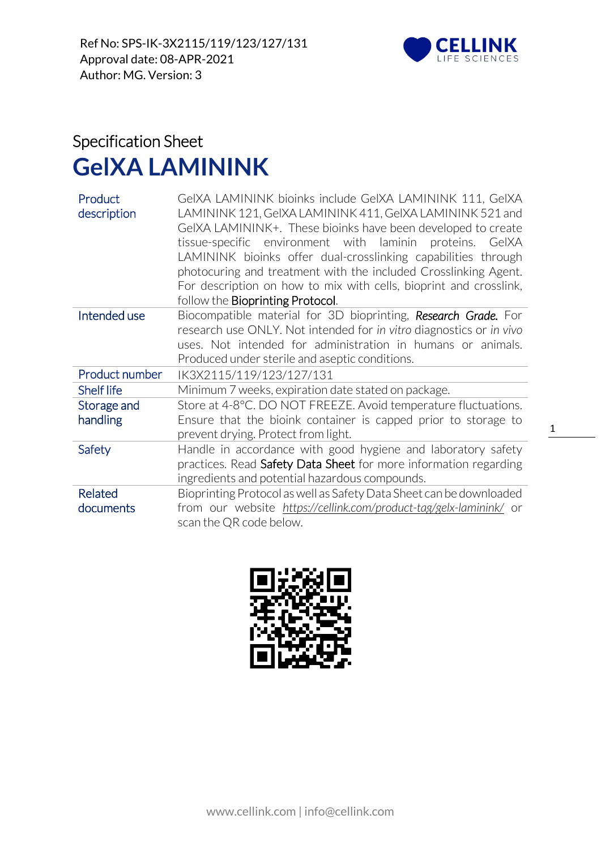

## Specification Sheet **GelXA LAMININK**

| Product<br>description | GeIXA LAMININK bioinks include GeIXA LAMININK 111, GeIXA<br>LAMININK 121, GeIXA LAMININK 411, GeIXA LAMININK 521 and<br>GeIXA LAMININK+. These bioinks have been developed to create<br>tissue-specific environment with laminin<br>proteins. GelXA<br>LAMININK bioinks offer dual-crosslinking capabilities through<br>photocuring and treatment with the included Crosslinking Agent.<br>For description on how to mix with cells, bioprint and crosslink,<br>follow the <b>Bioprinting Protocol</b> . |
|------------------------|----------------------------------------------------------------------------------------------------------------------------------------------------------------------------------------------------------------------------------------------------------------------------------------------------------------------------------------------------------------------------------------------------------------------------------------------------------------------------------------------------------|
| Intended use           | Biocompatible material for 3D bioprinting, Research Grade. For<br>research use ONLY. Not intended for in vitro diagnostics or in vivo<br>uses. Not intended for administration in humans or animals.<br>Produced under sterile and aseptic conditions.                                                                                                                                                                                                                                                   |
| Product number         | IK3X2115/119/123/127/131                                                                                                                                                                                                                                                                                                                                                                                                                                                                                 |
| <b>Shelf life</b>      | Minimum 7 weeks, expiration date stated on package.                                                                                                                                                                                                                                                                                                                                                                                                                                                      |
| Storage and            | Store at 4-8°C. DO NOT FREEZE. Avoid temperature fluctuations.                                                                                                                                                                                                                                                                                                                                                                                                                                           |
| handling               | Ensure that the bioink container is capped prior to storage to<br>prevent drying. Protect from light.                                                                                                                                                                                                                                                                                                                                                                                                    |
| Safety                 | Handle in accordance with good hygiene and laboratory safety<br>practices. Read Safety Data Sheet for more information regarding<br>ingredients and potential hazardous compounds.                                                                                                                                                                                                                                                                                                                       |
| Related                | Bioprinting Protocol as well as Safety Data Sheet can be downloaded                                                                                                                                                                                                                                                                                                                                                                                                                                      |
| documents              | from our website https://cellink.com/product-tag/gelx-laminink/ or<br>scan the QR code below.                                                                                                                                                                                                                                                                                                                                                                                                            |